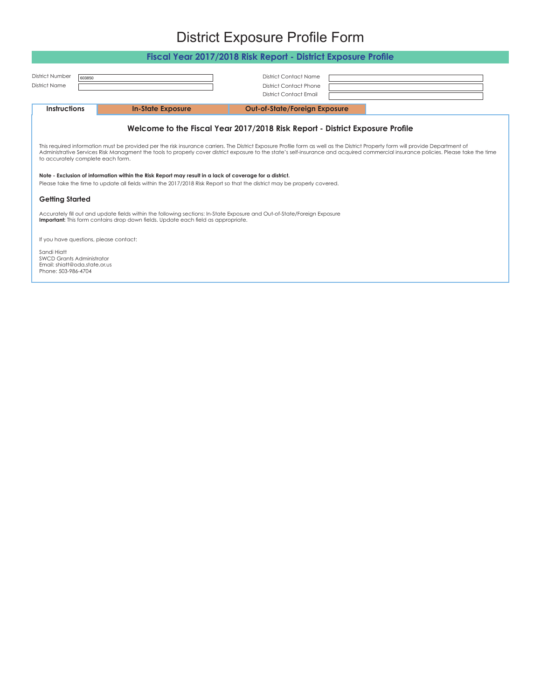## District Exposure Profile Form **Fiscal Year 2017/2018 Risk Report - District Exposure Profile**

<span id="page-0-0"></span>

| <b>FISCULTEDI ZUT/ZUTO NISK NEDUIT - DISITICI EXPOSUTE FIUITE</b>                                                                                                                                                                                                                                                                                                                                           |                          |                                                                                                |  |  |  |  |  |
|-------------------------------------------------------------------------------------------------------------------------------------------------------------------------------------------------------------------------------------------------------------------------------------------------------------------------------------------------------------------------------------------------------------|--------------------------|------------------------------------------------------------------------------------------------|--|--|--|--|--|
| <b>District Number</b><br><b>District Name</b>                                                                                                                                                                                                                                                                                                                                                              | 603850                   | <b>District Contact Name</b><br><b>District Contact Phone</b><br><b>District Contact Email</b> |  |  |  |  |  |
| <b>Instructions</b>                                                                                                                                                                                                                                                                                                                                                                                         | <b>In-State Exposure</b> | <b>Out-of-State/Foreign Exposure</b>                                                           |  |  |  |  |  |
|                                                                                                                                                                                                                                                                                                                                                                                                             |                          | Welcome to the Fiscal Year 2017/2018 Risk Report - District Exposure Profile                   |  |  |  |  |  |
| This required information must be provided per the risk insurance carriers. The District Exposure Profile form as well as the District Property form will provide Department of<br>Administrative Services Risk Managment the tools to properly cover district exposure to the state's self-insurance and acquired commercial insurance policies. Please take the time<br>to accurately complete each form. |                          |                                                                                                |  |  |  |  |  |
| Note - Exclusion of information within the Risk Report may result in a lack of coverage for a district.<br>Please take the time to update all fields within the 2017/2018 Risk Report so that the district may be properly covered.                                                                                                                                                                         |                          |                                                                                                |  |  |  |  |  |
| <b>Getting Started</b>                                                                                                                                                                                                                                                                                                                                                                                      |                          |                                                                                                |  |  |  |  |  |
| Accurately fill out and update fields within the following sections: In-State Exposure and Out-of-State/Foreign Exposure<br><b>Important:</b> This form contains drop down fields. Update each field as appropriate.                                                                                                                                                                                        |                          |                                                                                                |  |  |  |  |  |
| If you have questions, please contact:                                                                                                                                                                                                                                                                                                                                                                      |                          |                                                                                                |  |  |  |  |  |
| Sandi Hiatt<br><b>SWCD Grants Administrator</b><br>Email: shiatt@oda.state.or.us<br>Phone: 503-986-4704                                                                                                                                                                                                                                                                                                     |                          |                                                                                                |  |  |  |  |  |
|                                                                                                                                                                                                                                                                                                                                                                                                             |                          |                                                                                                |  |  |  |  |  |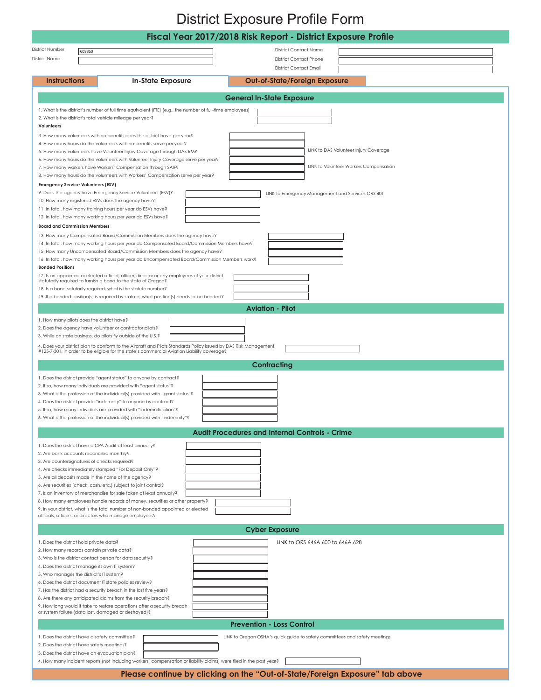## District Exposure Profile Form

<span id="page-1-0"></span>

|                                                                                                                             |                                                                                                                                                                                                                 |  |                                                       | Fiscal Year 2017/2018 Risk Report - District Exposure Profile |  |  |  |
|-----------------------------------------------------------------------------------------------------------------------------|-----------------------------------------------------------------------------------------------------------------------------------------------------------------------------------------------------------------|--|-------------------------------------------------------|---------------------------------------------------------------|--|--|--|
| District Number<br>603850                                                                                                   |                                                                                                                                                                                                                 |  | <b>District Contact Name</b>                          |                                                               |  |  |  |
| District Name                                                                                                               |                                                                                                                                                                                                                 |  | <b>District Contact Phone</b>                         |                                                               |  |  |  |
|                                                                                                                             |                                                                                                                                                                                                                 |  | <b>District Contact Email</b>                         |                                                               |  |  |  |
| <b>Instructions</b>                                                                                                         | <b>In-State Exposure</b>                                                                                                                                                                                        |  | <b>Out-of-State/Foreign Exposure</b>                  |                                                               |  |  |  |
|                                                                                                                             |                                                                                                                                                                                                                 |  | <b>General In-State Exposure</b>                      |                                                               |  |  |  |
|                                                                                                                             | 1. What is the district's number of full time equivalent (FTE) (e.g., the number of full-time employees)                                                                                                        |  |                                                       |                                                               |  |  |  |
| 2. What is the district's total vehicle mileage per year?<br>Volunteers                                                     |                                                                                                                                                                                                                 |  |                                                       |                                                               |  |  |  |
|                                                                                                                             | 3. How many volunteers with no benefits does the district have per year?                                                                                                                                        |  |                                                       |                                                               |  |  |  |
|                                                                                                                             | 4. How many hours do the volunteers with no benefits serve per year?<br>5. How many volunteers have Volunteer Injury Coverage through DAS RM?                                                                   |  |                                                       | LINK to DAS Volunteer Injury Coverage                         |  |  |  |
|                                                                                                                             | 6. How many hours do the volunteers with Volunteer Injury Coverage serve per year?                                                                                                                              |  |                                                       |                                                               |  |  |  |
|                                                                                                                             | 7. How many workers have Workers' Compensation through SAIF?                                                                                                                                                    |  |                                                       | LINK to Volunteer Workers Compensation                        |  |  |  |
| <b>Emergency Service Volunteers (ESV)</b>                                                                                   | 8. How many hours do the volunteers with Workers' Compensation serve per year?                                                                                                                                  |  |                                                       |                                                               |  |  |  |
|                                                                                                                             | 9. Does the agency have Emergency Service Volunteers (ESV)?                                                                                                                                                     |  |                                                       | LINK to Emergency Management and Services ORS 401             |  |  |  |
| 10. How many registered ESVs does the agency have?                                                                          | 11. In total, how many training hours per year do ESVs have?                                                                                                                                                    |  |                                                       |                                                               |  |  |  |
|                                                                                                                             | 12. In total, how many working hours per year do ESVs have?                                                                                                                                                     |  |                                                       |                                                               |  |  |  |
| <b>Board and Commission Members</b>                                                                                         |                                                                                                                                                                                                                 |  |                                                       |                                                               |  |  |  |
|                                                                                                                             | 13. How many Compensated Board/Commission Members does the agency have?<br>14. In total, how many working hours per year do Compensated Board/Commission Members have?                                          |  |                                                       |                                                               |  |  |  |
|                                                                                                                             | 15. How many Uncompensated Board/Commission Members does the agency have?                                                                                                                                       |  |                                                       |                                                               |  |  |  |
| <b>Bonded Positions</b>                                                                                                     | 16. In total, how many working hours per year do Uncompensated Board/Commission Members work?                                                                                                                   |  |                                                       |                                                               |  |  |  |
|                                                                                                                             | 17. Is an appointed or elected official, officer, director or any employees of your district<br>statutorily required to furnish a bond to the state of Oregon?                                                  |  |                                                       |                                                               |  |  |  |
|                                                                                                                             | 18. Is a bond satutorily required, what is the statute number?                                                                                                                                                  |  |                                                       |                                                               |  |  |  |
|                                                                                                                             | 19. If a bonded position(s) is required by statute, what position(s) needs to be bonded?                                                                                                                        |  |                                                       |                                                               |  |  |  |
|                                                                                                                             |                                                                                                                                                                                                                 |  | <b>Aviation - Pilot</b>                               |                                                               |  |  |  |
| 1. How many pilots does the district have?                                                                                  | 2. Does the agency have volunteer or contractor pilots?                                                                                                                                                         |  |                                                       |                                                               |  |  |  |
|                                                                                                                             | 3. While on state business, do pilots fly outside of the U.S.?                                                                                                                                                  |  |                                                       |                                                               |  |  |  |
|                                                                                                                             | 4. Does your district plan to conform to the Aircraft and Pilots Standards Policy issued by DAS Risk Management,<br>#125-7-301, in order to be eligible for the state's commercial Aviation Liability coverage? |  |                                                       |                                                               |  |  |  |
|                                                                                                                             |                                                                                                                                                                                                                 |  | <b>Contracting</b>                                    |                                                               |  |  |  |
|                                                                                                                             | 1. Does the district provide "agent status" to anyone by contract?                                                                                                                                              |  |                                                       |                                                               |  |  |  |
|                                                                                                                             | 2. If so, how many individuals are provided with "agent status"?                                                                                                                                                |  |                                                       |                                                               |  |  |  |
|                                                                                                                             | 3. What is the profession of the individual(s) provided with "grant status"?<br>4. Does the district provide "indemnity" to anyone by contract?                                                                 |  |                                                       |                                                               |  |  |  |
|                                                                                                                             | 5. If so, how many individials are provided with "indemnification"?                                                                                                                                             |  |                                                       |                                                               |  |  |  |
|                                                                                                                             | 6. What is the profession of the individual(s) provided with "indemnity"?                                                                                                                                       |  |                                                       |                                                               |  |  |  |
|                                                                                                                             |                                                                                                                                                                                                                 |  | <b>Audit Procedures and Internal Controls - Crime</b> |                                                               |  |  |  |
| 1. Does the district have a CPA Audit at least annually?                                                                    |                                                                                                                                                                                                                 |  |                                                       |                                                               |  |  |  |
| 2. Are bank accounts reconciled monthly?<br>3. Are countersignatures of checks required?                                    |                                                                                                                                                                                                                 |  |                                                       |                                                               |  |  |  |
|                                                                                                                             | 4. Are checks immediately stamped "For Deposit Only"?                                                                                                                                                           |  |                                                       |                                                               |  |  |  |
| 5. Are all deposits made in the name of the agency?                                                                         | 6. Are securities (check, cash, etc.) subject to joint control?                                                                                                                                                 |  |                                                       |                                                               |  |  |  |
|                                                                                                                             | 7. Is an inventory of merchandise for sale taken at least annually?                                                                                                                                             |  |                                                       |                                                               |  |  |  |
|                                                                                                                             | 8. How many employees handle records of money, securities or other property?<br>9. In your district, what is the total number of non-bonded appointed or elected                                                |  |                                                       |                                                               |  |  |  |
| officials, officers, or directors who manage employees?                                                                     |                                                                                                                                                                                                                 |  |                                                       |                                                               |  |  |  |
|                                                                                                                             |                                                                                                                                                                                                                 |  | <b>Cyber Exposure</b>                                 |                                                               |  |  |  |
| 1. Does the district hold private data?                                                                                     |                                                                                                                                                                                                                 |  |                                                       | LINK to ORS 646A.600 to 646A.628                              |  |  |  |
| 2. How many records contain private data?<br>3. Who is the district contact person for data security?                       |                                                                                                                                                                                                                 |  |                                                       |                                                               |  |  |  |
| 4. Does the district manage its own IT system?                                                                              |                                                                                                                                                                                                                 |  |                                                       |                                                               |  |  |  |
| 5. Who manages the district's IT system?<br>6. Does the district document IT state policies review?                         |                                                                                                                                                                                                                 |  |                                                       |                                                               |  |  |  |
|                                                                                                                             | 7. Has the district had a security breach in the last five years?                                                                                                                                               |  |                                                       |                                                               |  |  |  |
|                                                                                                                             | 8. Are there any anticipated claims from the security breach?<br>9. How long would it take to restore operations after a security breach                                                                        |  |                                                       |                                                               |  |  |  |
| or system failure (data lost, damaged or destroyed)?                                                                        |                                                                                                                                                                                                                 |  |                                                       |                                                               |  |  |  |
| <b>Prevention - Loss Control</b>                                                                                            |                                                                                                                                                                                                                 |  |                                                       |                                                               |  |  |  |
| 1. Does the district have a safety committee?<br>LINK to Oregon OSHA's quick guide to safety committees and safety meetings |                                                                                                                                                                                                                 |  |                                                       |                                                               |  |  |  |
| 2. Does the district have safety meetings?<br>3. Does the district have an evacuation plan?                                 |                                                                                                                                                                                                                 |  |                                                       |                                                               |  |  |  |
|                                                                                                                             | 4. How many incident reports (not including workers' compensation or liability claims) were filed in the past year?                                                                                             |  |                                                       |                                                               |  |  |  |